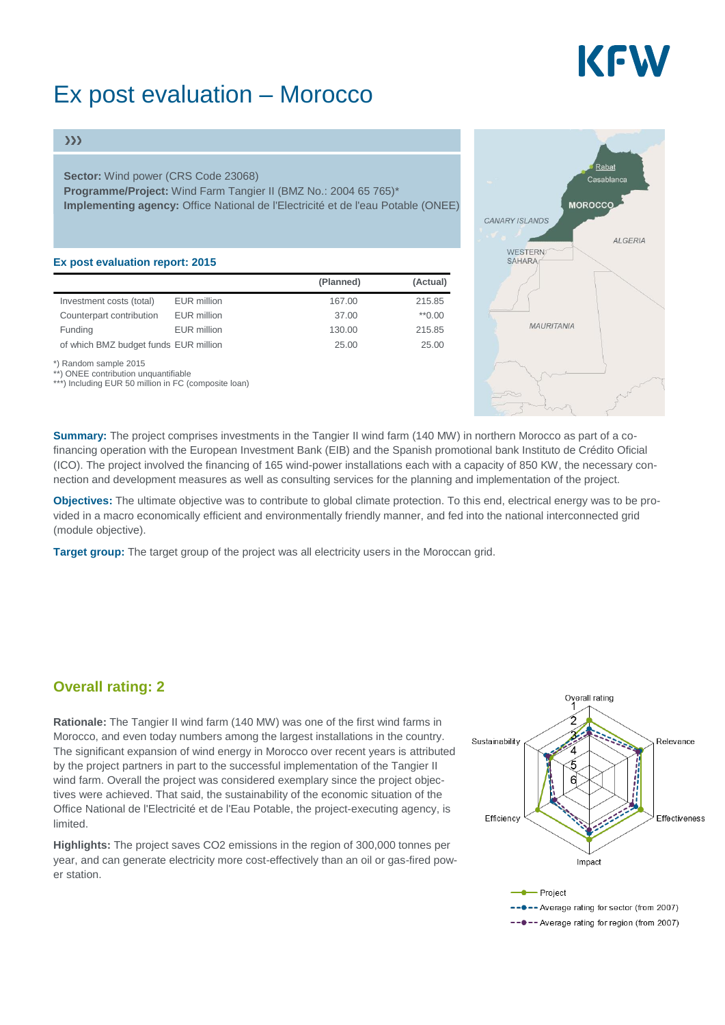# KEW

## Ex post evaluation – Morocco

#### $\gg$

**Sector:** Wind power (CRS Code 23068)

**Programme/Project:** Wind Farm Tangier II (BMZ No.: 2004 65 765)\* **Implementing agency:** Office National de l'Electricité et de l'eau Potable (ONEE)

#### **Ex post evaluation report: 2015**

|                                                               |                    | (Planned) | (Actual) |
|---------------------------------------------------------------|--------------------|-----------|----------|
| Investment costs (total)                                      | <b>EUR</b> million | 167.00    | 215.85   |
| Counterpart contribution                                      | <b>EUR</b> million | 37.00     | $*0.00$  |
| Funding                                                       | <b>EUR</b> million | 130.00    | 215.85   |
| of which BMZ budget funds EUR million                         |                    | 25.00     | 25.00    |
| *) Random sample 2015<br>**) ONEE contribution unquantifiable |                    |           |          |

\*) Including EUR 50 million in FC (composite loan)



**Summary:** The project comprises investments in the Tangier II wind farm (140 MW) in northern Morocco as part of a cofinancing operation with the European Investment Bank (EIB) and the Spanish promotional bank Instituto de Crédito Oficial (ICO). The project involved the financing of 165 wind-power installations each with a capacity of 850 KW, the necessary connection and development measures as well as consulting services for the planning and implementation of the project.

**Objectives:** The ultimate objective was to contribute to global climate protection. To this end, electrical energy was to be provided in a macro economically efficient and environmentally friendly manner, and fed into the national interconnected grid (module objective).

**Target group:** The target group of the project was all electricity users in the Moroccan grid.

### **Overall rating: 2**

**Rationale:** The Tangier II wind farm (140 MW) was one of the first wind farms in Morocco, and even today numbers among the largest installations in the country. The significant expansion of wind energy in Morocco over recent years is attributed by the project partners in part to the successful implementation of the Tangier II wind farm. Overall the project was considered exemplary since the project objectives were achieved. That said, the sustainability of the economic situation of the Office National de l'Electricité et de l'Eau Potable, the project-executing agency, is limited.

**Highlights:** The project saves CO2 emissions in the region of 300,000 tonnes per year, and can generate electricity more cost-effectively than an oil or gas-fired power station.



---- Average rating for region (from 2007)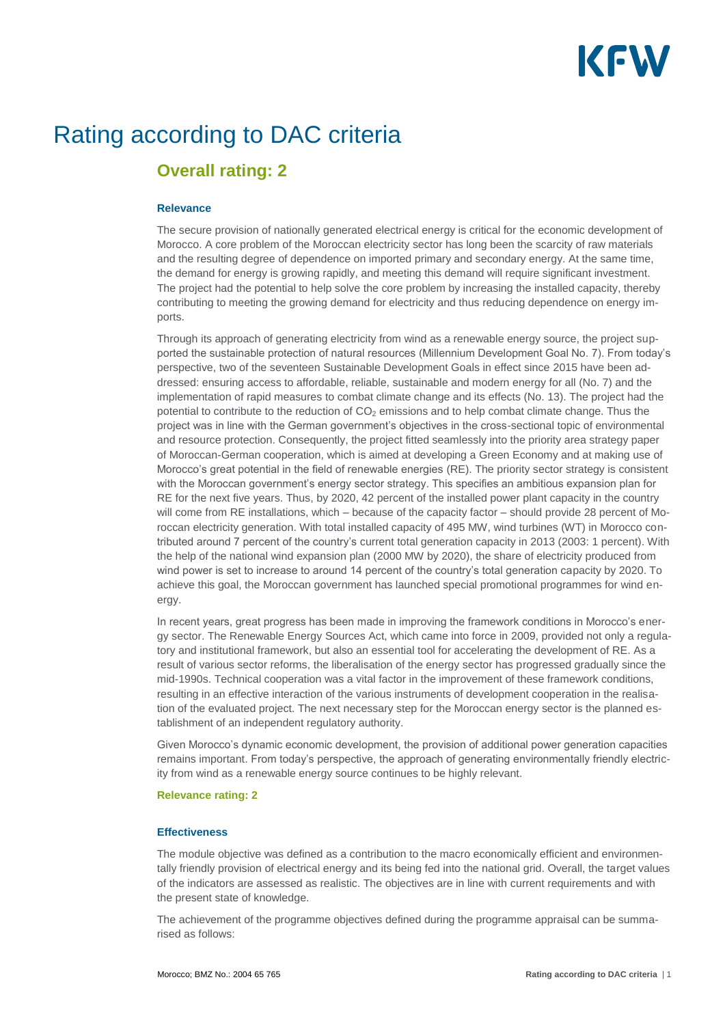# KFW

## Rating according to DAC criteria

### **Overall rating: 2**

#### **Relevance**

The secure provision of nationally generated electrical energy is critical for the economic development of Morocco. A core problem of the Moroccan electricity sector has long been the scarcity of raw materials and the resulting degree of dependence on imported primary and secondary energy. At the same time, the demand for energy is growing rapidly, and meeting this demand will require significant investment. The project had the potential to help solve the core problem by increasing the installed capacity, thereby contributing to meeting the growing demand for electricity and thus reducing dependence on energy imports.

Through its approach of generating electricity from wind as a renewable energy source, the project supported the sustainable protection of natural resources (Millennium Development Goal No. 7). From today's perspective, two of the seventeen Sustainable Development Goals in effect since 2015 have been addressed: ensuring access to affordable, reliable, sustainable and modern energy for all (No. 7) and the implementation of rapid measures to combat climate change and its effects (No. 13). The project had the potential to contribute to the reduction of CO<sub>2</sub> emissions and to help combat climate change. Thus the project was in line with the German government's objectives in the cross-sectional topic of environmental and resource protection. Consequently, the project fitted seamlessly into the priority area strategy paper of Moroccan-German cooperation, which is aimed at developing a Green Economy and at making use of Morocco's great potential in the field of renewable energies (RE). The priority sector strategy is consistent with the Moroccan government's energy sector strategy. This specifies an ambitious expansion plan for RE for the next five years. Thus, by 2020, 42 percent of the installed power plant capacity in the country will come from RE installations, which – because of the capacity factor – should provide 28 percent of Moroccan electricity generation. With total installed capacity of 495 MW, wind turbines (WT) in Morocco contributed around 7 percent of the country's current total generation capacity in 2013 (2003: 1 percent). With the help of the national wind expansion plan (2000 MW by 2020), the share of electricity produced from wind power is set to increase to around 14 percent of the country's total generation capacity by 2020. To achieve this goal, the Moroccan government has launched special promotional programmes for wind energy.

In recent years, great progress has been made in improving the framework conditions in Morocco's energy sector. The Renewable Energy Sources Act, which came into force in 2009, provided not only a regulatory and institutional framework, but also an essential tool for accelerating the development of RE. As a result of various sector reforms, the liberalisation of the energy sector has progressed gradually since the mid-1990s. Technical cooperation was a vital factor in the improvement of these framework conditions, resulting in an effective interaction of the various instruments of development cooperation in the realisation of the evaluated project. The next necessary step for the Moroccan energy sector is the planned establishment of an independent regulatory authority.

Given Morocco's dynamic economic development, the provision of additional power generation capacities remains important. From today's perspective, the approach of generating environmentally friendly electricity from wind as a renewable energy source continues to be highly relevant.

#### **Relevance rating: 2**

#### **Effectiveness**

The module objective was defined as a contribution to the macro economically efficient and environmentally friendly provision of electrical energy and its being fed into the national grid. Overall, the target values of the indicators are assessed as realistic. The objectives are in line with current requirements and with the present state of knowledge.

The achievement of the programme objectives defined during the programme appraisal can be summarised as follows: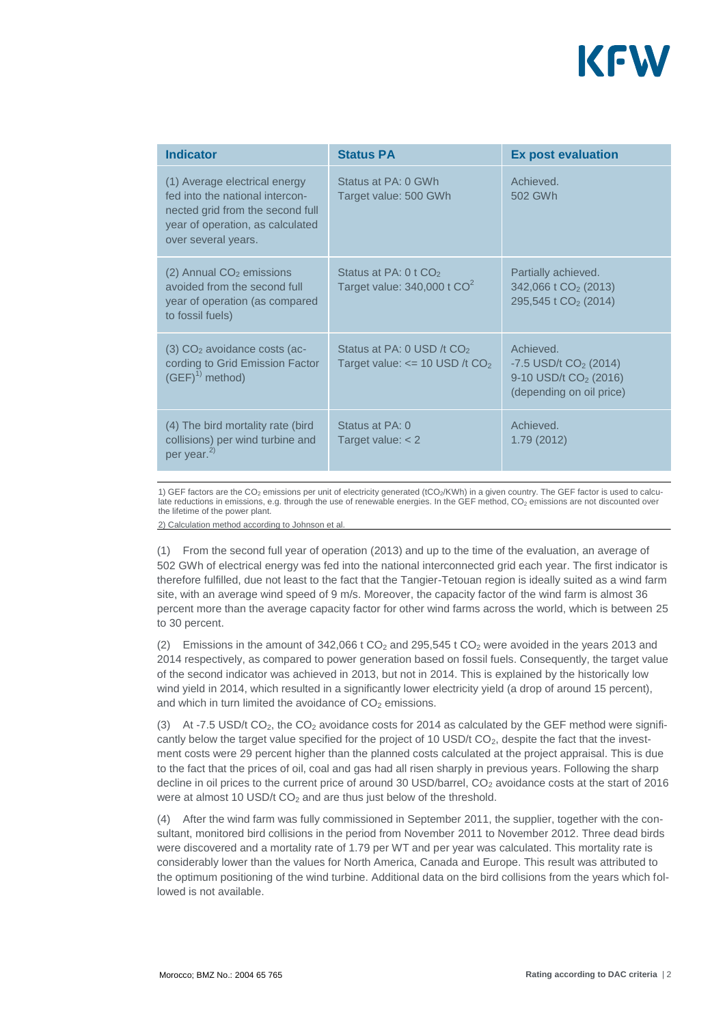

| <b>Indicator</b>                                                                                                                                                | <b>Status PA</b>                                                                        | <b>Ex post evaluation</b>                                                                                        |
|-----------------------------------------------------------------------------------------------------------------------------------------------------------------|-----------------------------------------------------------------------------------------|------------------------------------------------------------------------------------------------------------------|
| (1) Average electrical energy<br>fed into the national intercon-<br>nected grid from the second full<br>year of operation, as calculated<br>over several years. | Status at PA: 0 GWh<br>Target value: 500 GWh                                            | Achieved.<br>502 GWh                                                                                             |
| $(2)$ Annual CO <sub>2</sub> emissions<br>avoided from the second full<br>year of operation (as compared<br>to fossil fuels)                                    | Status at PA: $0$ t CO <sub>2</sub><br>Target value: $340,000$ t $CO2$                  | Partially achieved.<br>342,066 t CO <sub>2</sub> (2013)<br>295,545 t CO <sub>2</sub> (2014)                      |
| $(3)$ CO <sub>2</sub> avoidance costs (ac-<br>cording to Grid Emission Factor<br>$(GEF)^{1)}$ method)                                                           | Status at PA: 0 USD /t CO <sub>2</sub><br>Target value: $\le$ 10 USD /t CO <sub>2</sub> | Achieved<br>$-7.5$ USD/t CO <sub>2</sub> (2014)<br>9-10 USD/t CO <sub>2</sub> (2016)<br>(depending on oil price) |
| (4) The bird mortality rate (bird<br>collisions) per wind turbine and<br>per year. <sup>2)</sup>                                                                | Status at PA: 0<br>Target value: $<$ 2                                                  | Achieved.<br>1.79 (2012)                                                                                         |

1) GEF factors are the CO<sub>2</sub> emissions per unit of electricity generated (tCO<sub>2</sub>/KWh) in a given country. The GEF factor is used to calculate reductions in emissions, e.g. through the use of renewable energies. In the GEF method, CO<sub>2</sub> emissions are not discounted over the lifetime of the power plant.

2) Calculation method according to Johnson et al.

(1) From the second full year of operation (2013) and up to the time of the evaluation, an average of 502 GWh of electrical energy was fed into the national interconnected grid each year. The first indicator is therefore fulfilled, due not least to the fact that the Tangier-Tetouan region is ideally suited as a wind farm site, with an average wind speed of 9 m/s. Moreover, the capacity factor of the wind farm is almost 36 percent more than the average capacity factor for other wind farms across the world, which is between 25 to 30 percent.

(2) Emissions in the amount of 342,066 t  $CO<sub>2</sub>$  and 295,545 t  $CO<sub>2</sub>$  were avoided in the years 2013 and 2014 respectively, as compared to power generation based on fossil fuels. Consequently, the target value of the second indicator was achieved in 2013, but not in 2014. This is explained by the historically low wind yield in 2014, which resulted in a significantly lower electricity yield (a drop of around 15 percent), and which in turn limited the avoidance of  $CO<sub>2</sub>$  emissions.

(3) At -7.5 USD/t  $CO<sub>2</sub>$ , the  $CO<sub>2</sub>$  avoidance costs for 2014 as calculated by the GEF method were significantly below the target value specified for the project of 10 USD/t  $CO<sub>2</sub>$ , despite the fact that the investment costs were 29 percent higher than the planned costs calculated at the project appraisal. This is due to the fact that the prices of oil, coal and gas had all risen sharply in previous years. Following the sharp decline in oil prices to the current price of around 30 USD/barrel,  $CO<sub>2</sub>$  avoidance costs at the start of 2016 were at almost 10 USD/t  $CO<sub>2</sub>$  and are thus just below of the threshold.

(4) After the wind farm was fully commissioned in September 2011, the supplier, together with the consultant, monitored bird collisions in the period from November 2011 to November 2012. Three dead birds were discovered and a mortality rate of 1.79 per WT and per year was calculated. This mortality rate is considerably lower than the values for North America, Canada and Europe. This result was attributed to the optimum positioning of the wind turbine. Additional data on the bird collisions from the years which followed is not available.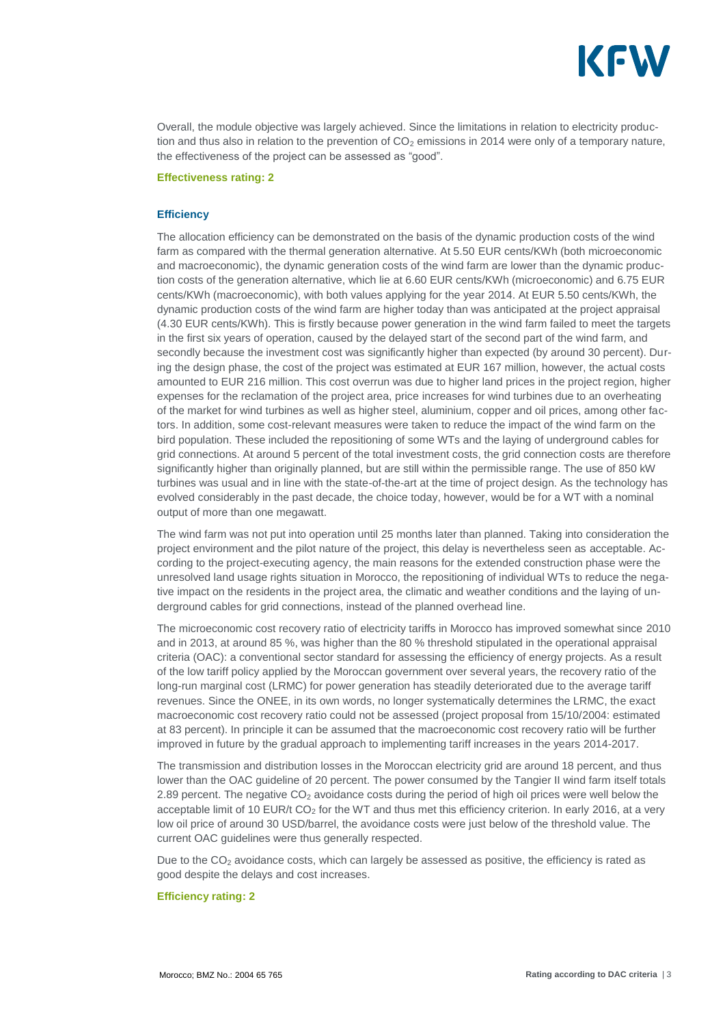

Overall, the module objective was largely achieved. Since the limitations in relation to electricity production and thus also in relation to the prevention of  $CO<sub>2</sub>$  emissions in 2014 were only of a temporary nature, the effectiveness of the project can be assessed as "good".

#### **Effectiveness rating: 2**

#### **Efficiency**

The allocation efficiency can be demonstrated on the basis of the dynamic production costs of the wind farm as compared with the thermal generation alternative. At 5.50 EUR cents/KWh (both microeconomic and macroeconomic), the dynamic generation costs of the wind farm are lower than the dynamic production costs of the generation alternative, which lie at 6.60 EUR cents/KWh (microeconomic) and 6.75 EUR cents/KWh (macroeconomic), with both values applying for the year 2014. At EUR 5.50 cents/KWh, the dynamic production costs of the wind farm are higher today than was anticipated at the project appraisal (4.30 EUR cents/KWh). This is firstly because power generation in the wind farm failed to meet the targets in the first six years of operation, caused by the delayed start of the second part of the wind farm, and secondly because the investment cost was significantly higher than expected (by around 30 percent). During the design phase, the cost of the project was estimated at EUR 167 million, however, the actual costs amounted to EUR 216 million. This cost overrun was due to higher land prices in the project region, higher expenses for the reclamation of the project area, price increases for wind turbines due to an overheating of the market for wind turbines as well as higher steel, aluminium, copper and oil prices, among other factors. In addition, some cost-relevant measures were taken to reduce the impact of the wind farm on the bird population. These included the repositioning of some WTs and the laying of underground cables for grid connections. At around 5 percent of the total investment costs, the grid connection costs are therefore significantly higher than originally planned, but are still within the permissible range. The use of 850 kW turbines was usual and in line with the state-of-the-art at the time of project design. As the technology has evolved considerably in the past decade, the choice today, however, would be for a WT with a nominal output of more than one megawatt.

The wind farm was not put into operation until 25 months later than planned. Taking into consideration the project environment and the pilot nature of the project, this delay is nevertheless seen as acceptable. According to the project-executing agency, the main reasons for the extended construction phase were the unresolved land usage rights situation in Morocco, the repositioning of individual WTs to reduce the negative impact on the residents in the project area, the climatic and weather conditions and the laying of underground cables for grid connections, instead of the planned overhead line.

The microeconomic cost recovery ratio of electricity tariffs in Morocco has improved somewhat since 2010 and in 2013, at around 85 %, was higher than the 80 % threshold stipulated in the operational appraisal criteria (OAC): a conventional sector standard for assessing the efficiency of energy projects. As a result of the low tariff policy applied by the Moroccan government over several years, the recovery ratio of the long-run marginal cost (LRMC) for power generation has steadily deteriorated due to the average tariff revenues. Since the ONEE, in its own words, no longer systematically determines the LRMC, the exact macroeconomic cost recovery ratio could not be assessed (project proposal from 15/10/2004: estimated at 83 percent). In principle it can be assumed that the macroeconomic cost recovery ratio will be further improved in future by the gradual approach to implementing tariff increases in the years 2014-2017.

The transmission and distribution losses in the Moroccan electricity grid are around 18 percent, and thus lower than the OAC guideline of 20 percent. The power consumed by the Tangier II wind farm itself totals 2.89 percent. The negative  $CO<sub>2</sub>$  avoidance costs during the period of high oil prices were well below the acceptable limit of 10 EUR/t CO<sub>2</sub> for the WT and thus met this efficiency criterion. In early 2016, at a very low oil price of around 30 USD/barrel, the avoidance costs were just below of the threshold value. The current OAC guidelines were thus generally respected.

Due to the  $CO<sub>2</sub>$  avoidance costs, which can largely be assessed as positive, the efficiency is rated as good despite the delays and cost increases.

#### **Efficiency rating: 2**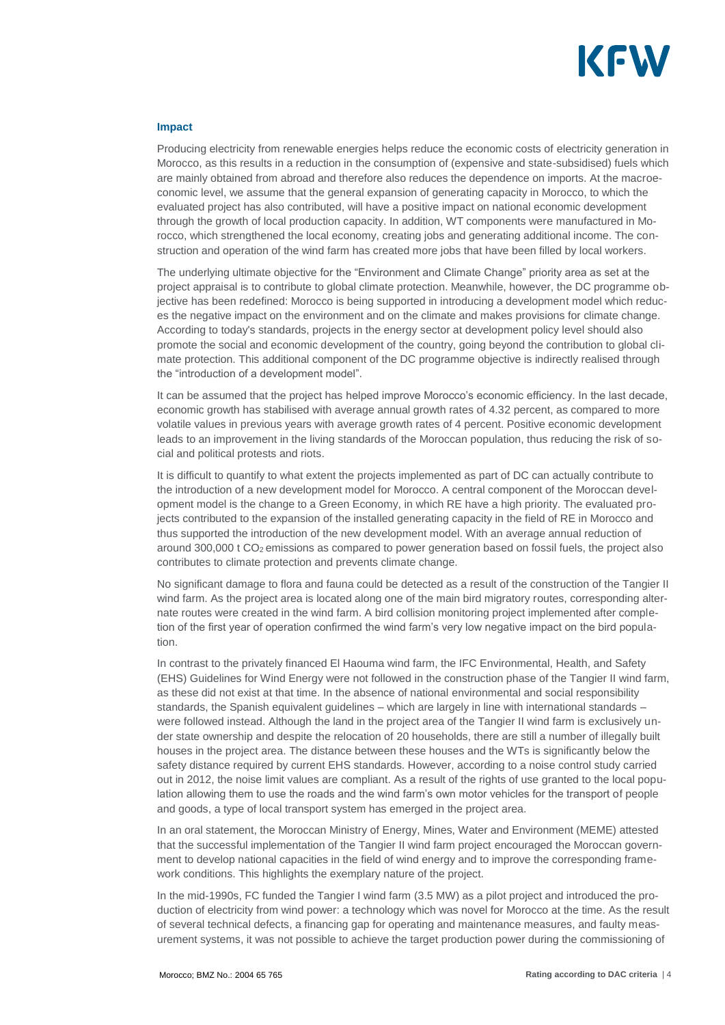

#### **Impact**

Producing electricity from renewable energies helps reduce the economic costs of electricity generation in Morocco, as this results in a reduction in the consumption of (expensive and state-subsidised) fuels which are mainly obtained from abroad and therefore also reduces the dependence on imports. At the macroeconomic level, we assume that the general expansion of generating capacity in Morocco, to which the evaluated project has also contributed, will have a positive impact on national economic development through the growth of local production capacity. In addition, WT components were manufactured in Morocco, which strengthened the local economy, creating jobs and generating additional income. The construction and operation of the wind farm has created more jobs that have been filled by local workers.

The underlying ultimate objective for the "Environment and Climate Change" priority area as set at the project appraisal is to contribute to global climate protection. Meanwhile, however, the DC programme objective has been redefined: Morocco is being supported in introducing a development model which reduces the negative impact on the environment and on the climate and makes provisions for climate change. According to today's standards, projects in the energy sector at development policy level should also promote the social and economic development of the country, going beyond the contribution to global climate protection. This additional component of the DC programme objective is indirectly realised through the "introduction of a development model".

It can be assumed that the project has helped improve Morocco's economic efficiency. In the last decade, economic growth has stabilised with average annual growth rates of 4.32 percent, as compared to more volatile values in previous years with average growth rates of 4 percent. Positive economic development leads to an improvement in the living standards of the Moroccan population, thus reducing the risk of social and political protests and riots.

It is difficult to quantify to what extent the projects implemented as part of DC can actually contribute to the introduction of a new development model for Morocco. A central component of the Moroccan development model is the change to a Green Economy, in which RE have a high priority. The evaluated projects contributed to the expansion of the installed generating capacity in the field of RE in Morocco and thus supported the introduction of the new development model. With an average annual reduction of around  $300,000$  t  $CO<sub>2</sub>$  emissions as compared to power generation based on fossil fuels, the project also contributes to climate protection and prevents climate change.

No significant damage to flora and fauna could be detected as a result of the construction of the Tangier II wind farm. As the project area is located along one of the main bird migratory routes, corresponding alternate routes were created in the wind farm. A bird collision monitoring project implemented after completion of the first year of operation confirmed the wind farm's very low negative impact on the bird population.

In contrast to the privately financed El Haouma wind farm, the IFC Environmental, Health, and Safety (EHS) Guidelines for Wind Energy were not followed in the construction phase of the Tangier II wind farm, as these did not exist at that time. In the absence of national environmental and social responsibility standards, the Spanish equivalent guidelines – which are largely in line with international standards – were followed instead. Although the land in the project area of the Tangier II wind farm is exclusively under state ownership and despite the relocation of 20 households, there are still a number of illegally built houses in the project area. The distance between these houses and the WTs is significantly below the safety distance required by current EHS standards. However, according to a noise control study carried out in 2012, the noise limit values are compliant. As a result of the rights of use granted to the local population allowing them to use the roads and the wind farm's own motor vehicles for the transport of people and goods, a type of local transport system has emerged in the project area.

In an oral statement, the Moroccan Ministry of Energy, Mines, Water and Environment (MEME) attested that the successful implementation of the Tangier II wind farm project encouraged the Moroccan government to develop national capacities in the field of wind energy and to improve the corresponding framework conditions. This highlights the exemplary nature of the project.

In the mid-1990s, FC funded the Tangier I wind farm (3.5 MW) as a pilot project and introduced the production of electricity from wind power: a technology which was novel for Morocco at the time. As the result of several technical defects, a financing gap for operating and maintenance measures, and faulty measurement systems, it was not possible to achieve the target production power during the commissioning of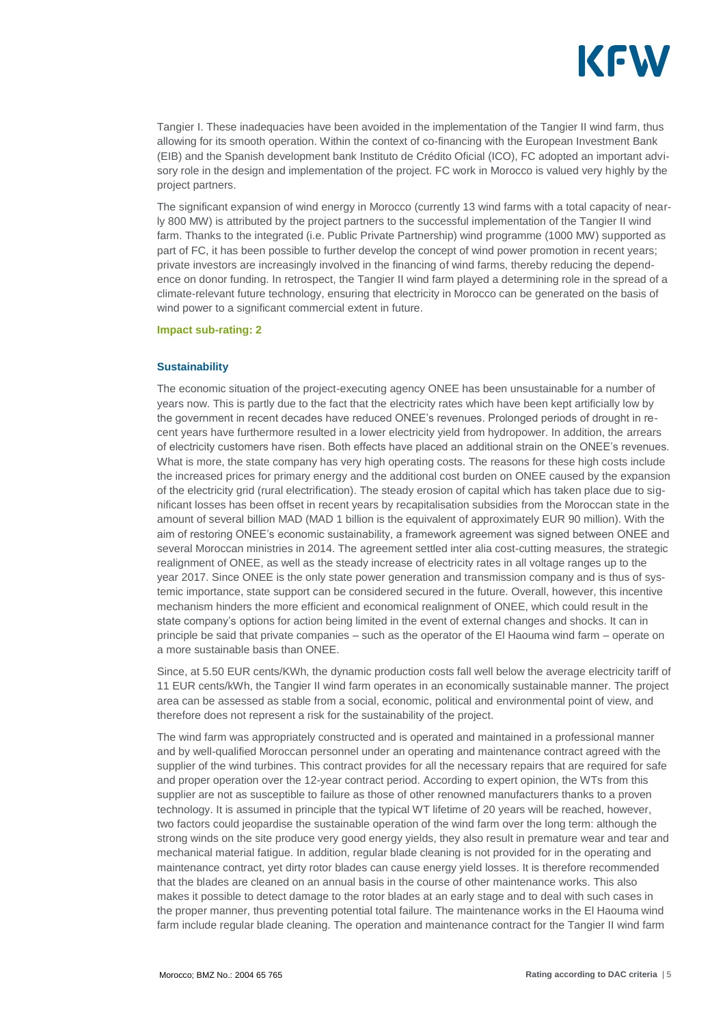

Tangier I. These inadequacies have been avoided in the implementation of the Tangier II wind farm, thus allowing for its smooth operation. Within the context of co-financing with the European Investment Bank (EIB) and the Spanish development bank Instituto de Crédito Oficial (ICO), FC adopted an important advisory role in the design and implementation of the project. FC work in Morocco is valued very highly by the project partners.

The significant expansion of wind energy in Morocco (currently 13 wind farms with a total capacity of nearly 800 MW) is attributed by the project partners to the successful implementation of the Tangier II wind farm. Thanks to the integrated (i.e. Public Private Partnership) wind programme (1000 MW) supported as part of FC, it has been possible to further develop the concept of wind power promotion in recent years; private investors are increasingly involved in the financing of wind farms, thereby reducing the dependence on donor funding. In retrospect, the Tangier II wind farm played a determining role in the spread of a climate-relevant future technology, ensuring that electricity in Morocco can be generated on the basis of wind power to a significant commercial extent in future.

**Impact sub-rating: 2**

#### **Sustainability**

The economic situation of the project-executing agency ONEE has been unsustainable for a number of years now. This is partly due to the fact that the electricity rates which have been kept artificially low by the government in recent decades have reduced ONEE's revenues. Prolonged periods of drought in recent years have furthermore resulted in a lower electricity yield from hydropower. In addition, the arrears of electricity customers have risen. Both effects have placed an additional strain on the ONEE's revenues. What is more, the state company has very high operating costs. The reasons for these high costs include the increased prices for primary energy and the additional cost burden on ONEE caused by the expansion of the electricity grid (rural electrification). The steady erosion of capital which has taken place due to significant losses has been offset in recent years by recapitalisation subsidies from the Moroccan state in the amount of several billion MAD (MAD 1 billion is the equivalent of approximately EUR 90 million). With the aim of restoring ONEE's economic sustainability, a framework agreement was signed between ONEE and several Moroccan ministries in 2014. The agreement settled inter alia cost-cutting measures, the strategic realignment of ONEE, as well as the steady increase of electricity rates in all voltage ranges up to the year 2017. Since ONEE is the only state power generation and transmission company and is thus of systemic importance, state support can be considered secured in the future. Overall, however, this incentive mechanism hinders the more efficient and economical realignment of ONEE, which could result in the state company's options for action being limited in the event of external changes and shocks. It can in principle be said that private companies – such as the operator of the El Haouma wind farm – operate on a more sustainable basis than ONEE.

Since, at 5.50 EUR cents/KWh, the dynamic production costs fall well below the average electricity tariff of 11 EUR cents/kWh, the Tangier II wind farm operates in an economically sustainable manner. The project area can be assessed as stable from a social, economic, political and environmental point of view, and therefore does not represent a risk for the sustainability of the project.

The wind farm was appropriately constructed and is operated and maintained in a professional manner and by well-qualified Moroccan personnel under an operating and maintenance contract agreed with the supplier of the wind turbines. This contract provides for all the necessary repairs that are required for safe and proper operation over the 12-year contract period. According to expert opinion, the WTs from this supplier are not as susceptible to failure as those of other renowned manufacturers thanks to a proven technology. It is assumed in principle that the typical WT lifetime of 20 years will be reached, however, two factors could jeopardise the sustainable operation of the wind farm over the long term: although the strong winds on the site produce very good energy yields, they also result in premature wear and tear and mechanical material fatigue. In addition, regular blade cleaning is not provided for in the operating and maintenance contract, yet dirty rotor blades can cause energy yield losses. It is therefore recommended that the blades are cleaned on an annual basis in the course of other maintenance works. This also makes it possible to detect damage to the rotor blades at an early stage and to deal with such cases in the proper manner, thus preventing potential total failure. The maintenance works in the El Haouma wind farm include regular blade cleaning. The operation and maintenance contract for the Tangier II wind farm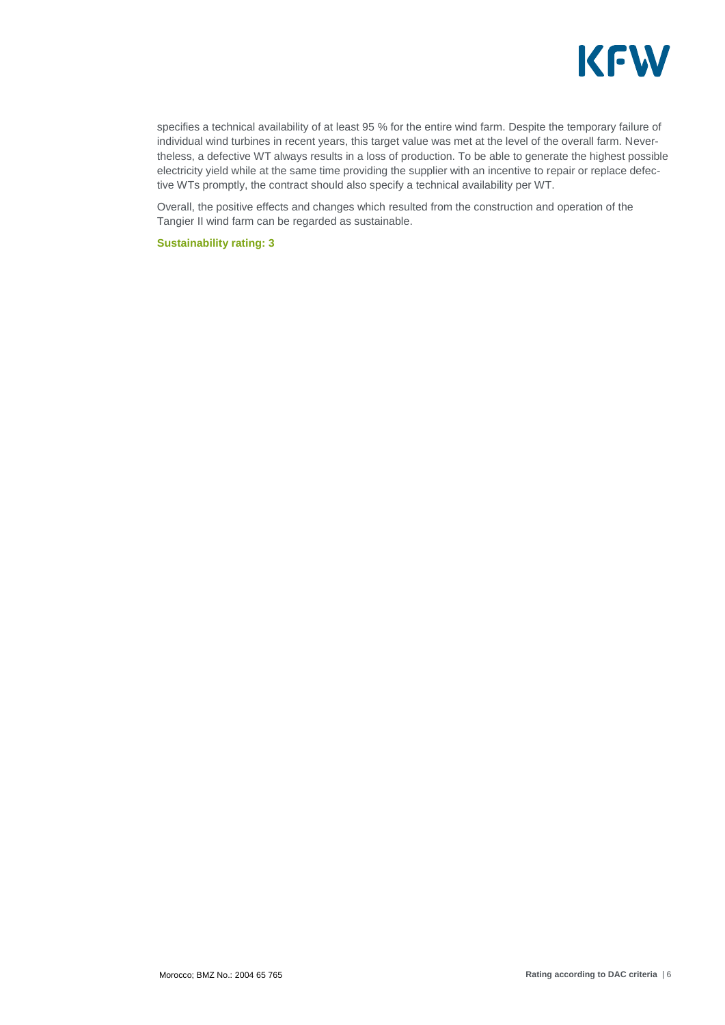

specifies a technical availability of at least 95 % for the entire wind farm. Despite the temporary failure of individual wind turbines in recent years, this target value was met at the level of the overall farm. Nevertheless, a defective WT always results in a loss of production. To be able to generate the highest possible electricity yield while at the same time providing the supplier with an incentive to repair or replace defective WTs promptly, the contract should also specify a technical availability per WT.

Overall, the positive effects and changes which resulted from the construction and operation of the Tangier II wind farm can be regarded as sustainable.

**Sustainability rating: 3**